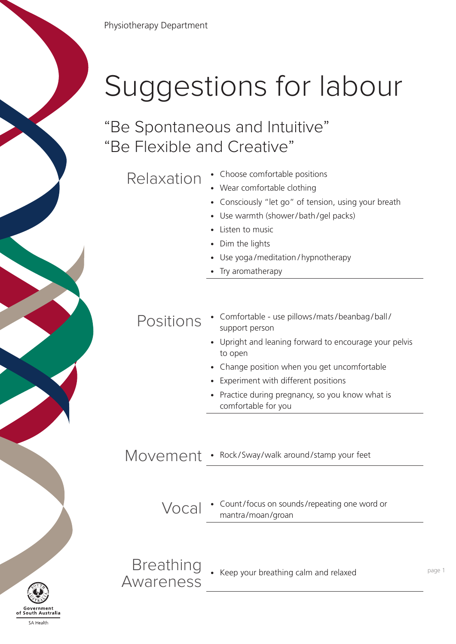

"Be Spontaneous and Intuitive" "Be Flexible and Creative"

Relaxation • Choose comfortable positions

- 
- Wear comfortable clothing
- Consciously "let go" of tension, using your breath
- Use warmth (shower/ bath /gel packs)
- Listen to music
- Dim the lights
- Use yoga /meditation / hypnotherapy
- Try aromatherapy

## POSITIONS • Comfortable - use pillows/mats/beanbag/ball/ support person

- Upright and leaning forward to encourage your pelvis to open
- Change position when you get uncomfortable
- Experiment with different positions
- Practice during pregnancy, so you know what is comfortable for you

## Movement • Rock/Sway/walk around/stamp your feet

Vocal • Count /focus on sounds /repeating one word or mantra/moan/groan

**Breathing** DIEAUTITY • Keep your breathing calm and relaxed<br>AWATENESS